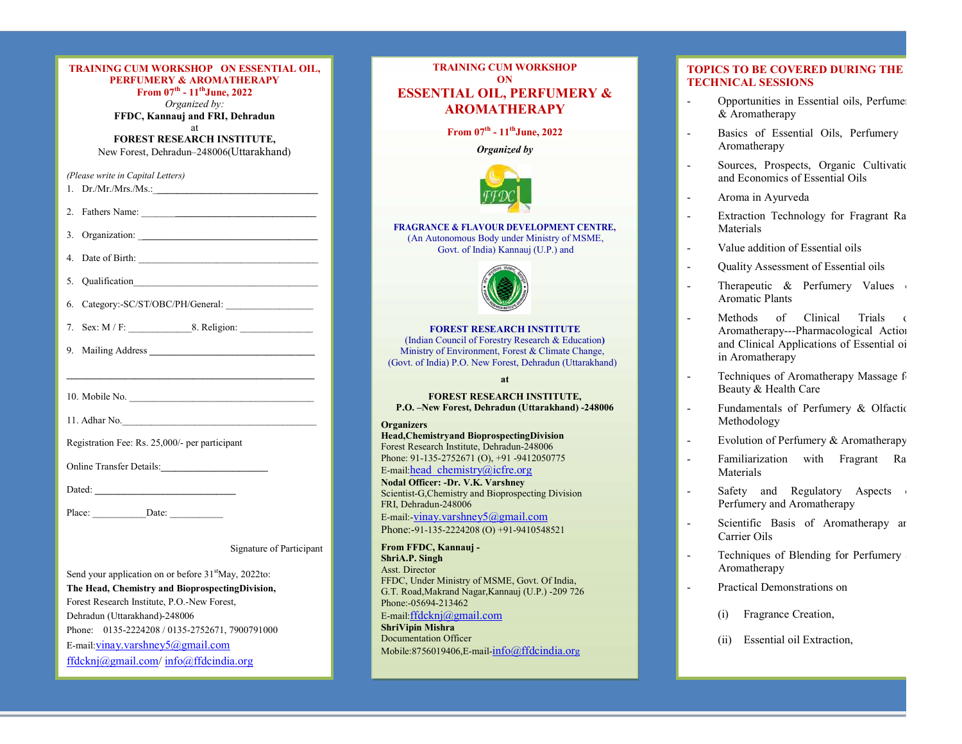| TRAINING CUM WORKSHOP ON ESSENTIAL OIL,<br><b>PERFUMERY &amp; AROMATHERAPY</b><br>From $07^{\text{th}}$ - $11^{\text{th}}$ June, 2022<br>Organized by:<br>FFDC, Kannauj and FRI, Dehradun | <b>TRAINING CUM</b><br>ON<br><b>ESSENTIAL OIL, 1</b><br><b>AROMATI</b>                                                                    |
|-------------------------------------------------------------------------------------------------------------------------------------------------------------------------------------------|-------------------------------------------------------------------------------------------------------------------------------------------|
| at<br><b>FOREST RESEARCH INSTITUTE,</b><br>New Forest, Dehradun-248006(Uttarakhand)                                                                                                       | From $07^{\text{th}} - 11^{\text{t}}$<br><b>Organiz</b>                                                                                   |
| (Please write in Capital Letters)<br>1. $Dr.Mr.Mrs.Ms.$                                                                                                                                   |                                                                                                                                           |
| 3. Organization:                                                                                                                                                                          | <b>FRAGRANCE &amp; FLAVOUR D</b><br>(An Autonomous Body un<br>Govt. of India) Kar                                                         |
| 4. Date of Birth:<br>5. Qualification                                                                                                                                                     |                                                                                                                                           |
| 7. Sex: $M/F$ : 8. Religion:                                                                                                                                                              | <b>FOREST RESEAR</b><br>(Indian Council of Forestry<br>Ministry of Environment, Fo<br>(Govt. of India) P.O. New Fores                     |
| the control of the control of the control of the control of the control of the control of                                                                                                 | at<br><b>FOREST RESEARO</b><br>P.O. - New Forest, Dehradui                                                                                |
| Registration Fee: Rs. 25,000/- per participant                                                                                                                                            | <b>Organizers</b><br><b>Head, Chemistryand Bioprospec</b><br>Forest Research Institute, Dehradt                                           |
|                                                                                                                                                                                           | Phone: $91-135-2752671$ (O), $+91$<br>E-mail:head chemistry@icfre<br>Nodal Officer: -Dr. V.K. Varshi<br>Scientist-G, Chemistry and Biopro |
|                                                                                                                                                                                           | FRI, Dehradun-248006<br>E-mail:- $\frac{v_{\text{inay}}}{v_{\text{arshney}}}(a)$ gm<br>$D_{max}$ 01 125 2224209 (O) 101                   |

| TRAINING CUM WORKSHOP ON ESSENTIAL OIL,<br><b>PERFUMERY &amp; AROMATHERAPY</b><br>From $07^{\text{th}}$ - $11^{\text{th}}$ June, 2022<br>Organized by: | <b>TRAINING CUM WORKSHOP</b><br>ON<br><b>ESSENTIAL OIL, PERFUMERY &amp;</b>                                                                                        | <b>TOPICS TO BE COVERED DURING THE</b><br><b>TECHNICAL SESSIONS</b><br>Opportunities in Essential oils, Perfume |  |
|--------------------------------------------------------------------------------------------------------------------------------------------------------|--------------------------------------------------------------------------------------------------------------------------------------------------------------------|-----------------------------------------------------------------------------------------------------------------|--|
| FFDC, Kannauj and FRI, Dehradun                                                                                                                        | <b>AROMATHERAPY</b>                                                                                                                                                | & Aromatherapy                                                                                                  |  |
| at<br>FOREST RESEARCH INSTITUTE,<br>New Forest, Dehradun-248006(Uttarakhand)                                                                           | From $07^{\text{th}}$ - $11^{\text{th}}$ June, 2022<br>Organized by                                                                                                | Basics of Essential Oils, Perfumery<br>$\sim$<br>Aromatherapy                                                   |  |
| (Please write in Capital Letters)                                                                                                                      |                                                                                                                                                                    | Sources, Prospects, Organic Cultivatio<br>$\sim$<br>and Economics of Essential Oils                             |  |
| 1. $Dr.Mr.Mrs.Ms.:$                                                                                                                                    |                                                                                                                                                                    | Aroma in Ayurveda<br>$\sim$                                                                                     |  |
| 2. Fathers Name:                                                                                                                                       | <b>FRAGRANCE &amp; FLAVOUR DEVELOPMENT CENTRE,</b>                                                                                                                 | Extraction Technology for Fragrant Ra<br>$\sim$<br>Materials                                                    |  |
|                                                                                                                                                        | (An Autonomous Body under Ministry of MSME,<br>Govt. of India) Kannauj (U.P.) and                                                                                  | Value addition of Essential oils<br>$\sim$                                                                      |  |
|                                                                                                                                                        |                                                                                                                                                                    | Quality Assessment of Essential oils<br>$\overline{\phantom{a}}$                                                |  |
|                                                                                                                                                        |                                                                                                                                                                    | Therapeutic & Perfumery Values<br>$\blacksquare$<br><b>Aromatic Plants</b>                                      |  |
| 6. Category:-SC/ST/OBC/PH/General:                                                                                                                     | <b>FOREST RESEARCH INSTITUTE</b>                                                                                                                                   | Methods of Clinical Trials of<br>$\sim$<br>Aromatherapy---Pharmacological Action                                |  |
|                                                                                                                                                        | (Indian Council of Forestry Research & Education)<br>Ministry of Environment, Forest & Climate Change,<br>(Govt. of India) P.O. New Forest, Dehradun (Uttarakhand) | and Clinical Applications of Essential oi<br>in Aromatherapy                                                    |  |
|                                                                                                                                                        | at                                                                                                                                                                 | Techniques of Aromatherapy Massage f<br>$\omega$<br>Beauty & Health Care                                        |  |
|                                                                                                                                                        | <b>FOREST RESEARCH INSTITUTE,</b><br>P.O. -New Forest, Dehradun (Uttarakhand) -248006<br><b>Organizers</b>                                                         | Fundamentals of Perfumery & Olfactic<br>$\blacksquare$<br>Methodology                                           |  |
|                                                                                                                                                        | Head, Chemistry and Bioprospecting Division                                                                                                                        | Evolution of Perfumery & Aromatherapy<br>$\blacksquare$                                                         |  |
| Registration Fee: Rs. 25,000/- per participant                                                                                                         | Forest Research Institute, Dehradun-248006<br>Phone: 91-135-2752671 (O), +91 -9412050775                                                                           | Familiarization with Fragrant Ra<br>$\blacksquare$                                                              |  |
| Online Transfer Details:                                                                                                                               | E-mail:head chemistry@icfre.org                                                                                                                                    | Materials                                                                                                       |  |
|                                                                                                                                                        | Nodal Officer: -Dr. V.K. Varshney<br>Scientist-G, Chemistry and Bioprospecting Division<br>FRI, Dehradun-248006                                                    | Safety and Regulatory Aspects<br>Perfumery and Aromatherapy                                                     |  |
|                                                                                                                                                        | E-mail: vinay.varshney5@gmail.com<br>Phone:-91-135-2224208 (O) +91-9410548521                                                                                      | Scientific Basis of Aromatherapy ar<br>Carrier Oils                                                             |  |
| Signature of Participant                                                                                                                               | From FFDC, Kannauj -<br>ShriA.P. Singh<br>Asst. Director                                                                                                           | Techniques of Blending for Perfumery<br>$\blacksquare$<br>Aromatherapy                                          |  |
| Send your application on or before 31 <sup>st</sup> May, 2022to:<br>The Head, Chemistry and BioprospectingDivision,                                    | FFDC, Under Ministry of MSME, Govt. Of India,                                                                                                                      | Practical Demonstrations on<br>$\sim$                                                                           |  |
| Forest Research Institute, P.O.-New Forest,                                                                                                            | G.T. Road, Makrand Nagar, Kannauj (U.P.) -209 726<br>Phone:-05694-213462                                                                                           |                                                                                                                 |  |
| Dehradun (Uttarakhand)-248006                                                                                                                          | E-mail: ffdcknj $@g$ mail.com                                                                                                                                      | Fragrance Creation,<br>(i)                                                                                      |  |
| Phone: 0135-2224208 / 0135-2752671, 7900791000                                                                                                         | <b>ShriVipin Mishra</b><br><b>Documentation Officer</b>                                                                                                            | Essential oil Extraction,<br>(ii)                                                                               |  |
| E-mail: vinay.varshney $5$ @gmail.com<br>ffdcknj@gmail.com/info@ffdcindia.org                                                                          | Mobile:8756019406,E-mail-info@ffdcindia.org                                                                                                                        |                                                                                                                 |  |

# TOPICS TO BE COVERED DURING THE TECHNICAL SESSIONS

- Opportunities in Essential oils, Perfumery
- Basics of Essential Oils, Perfumery &
- Sources, Prospects, Organic Cultivation and Economics of Essential Oils
- 
- Aroma in Ayurveda<br>- Extraction Technology for Fragrant Ra Materials
- 
- 
- Quality Assessment of Essential oils<br>- Therapeutic & Perfumery Values<br>Aromatic Plants
- Methods of Clinical Trials Aromatherapy---Pharmacological Action and Clinical Applications of Essential oi<br>in Aromatherapy
- Techniques of Aromatherapy Massage for Beauty & Health Care
- Fundamentals of Perfumery & Olfactic Methodology<br>- Evolution of Perfumery & Aromatherapy
- 
- Familiarization with Fragrant Raw<br>Materials
- Safety and Regulatory Aspects<br>Perfumery and Aromatherapy
- Carrier Oils<br>- Techniques of Blending for Perfumery
- Aromatherapy
- Practical Demonstrations on
	-
	- (ii) Essential oil Extraction,